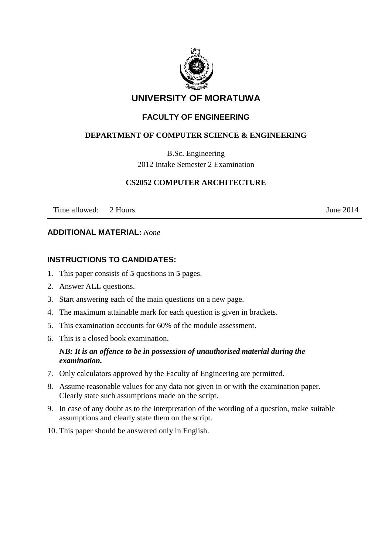

# **UNIVERSITY OF MORATUWA**

## **FACULTY OF ENGINEERING**

## **DEPARTMENT OF COMPUTER SCIENCE & ENGINEERING**

B.Sc. Engineering 2012 Intake Semester 2 Examination

#### **CS2052 COMPUTER ARCHITECTURE**

Time allowed: 2 Hours June 2014

#### **ADDITIONAL MATERIAL:** *None*

## **INSTRUCTIONS TO CANDIDATES:**

- 1. This paper consists of **5** questions in **5** pages.
- 2. Answer ALL questions.
- 3. Start answering each of the main questions on a new page.
- 4. The maximum attainable mark for each question is given in brackets.
- 5. This examination accounts for 60% of the module assessment.
- 6. This is a closed book examination.

## *NB: It is an offence to be in possession of unauthorised material during the examination.*

- 7. Only calculators approved by the Faculty of Engineering are permitted.
- 8. Assume reasonable values for any data not given in or with the examination paper. Clearly state such assumptions made on the script.
- 9. In case of any doubt as to the interpretation of the wording of a question, make suitable assumptions and clearly state them on the script.
- 10. This paper should be answered only in English.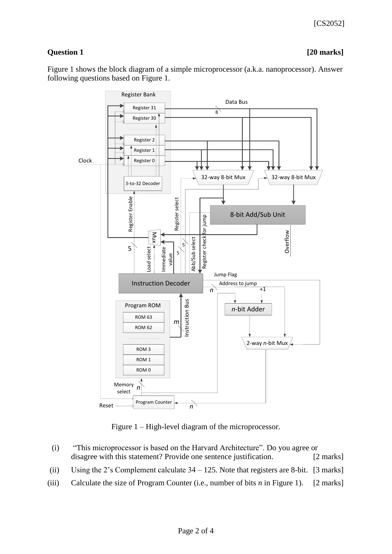## **Question 1 [20 marks]**

Figure 1 shows the block diagram of a simple microprocessor (a.k.a. nanoprocessor). Answer following questions based on Figure 1.



Figure 1 – High-level diagram of the microprocessor.

| (i)   | "This microprocessor is based on the Harvard Architecture". Do you agree or              |                     |  |
|-------|------------------------------------------------------------------------------------------|---------------------|--|
|       | disagree with this statement? Provide one sentence justification.                        | $[2 \text{ marks}]$ |  |
| (ii)  | Using the 2's Complement calculate $34 - 125$ . Note that registers are 8-bit. [3 marks] |                     |  |
| (iii) | Calculate the size of Program Counter (i.e., number of bits $n$ in Figure 1). [2 marks]  |                     |  |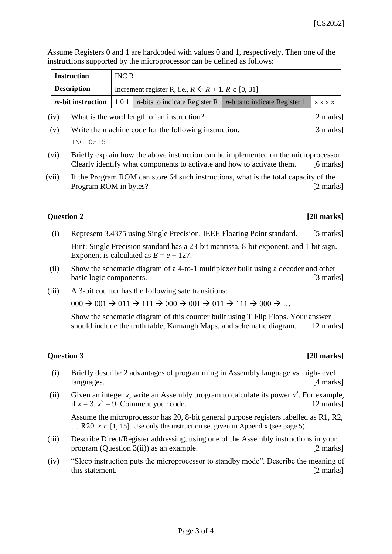Assume Registers 0 and 1 are hardcoded with values 0 and 1, respectively. Then one of the instructions supported by the microprocessor can be defined as follows:

| <b>Instruction</b> | <b>INC R</b>                                                       |                                                                         |                                                       |  |
|--------------------|--------------------------------------------------------------------|-------------------------------------------------------------------------|-------------------------------------------------------|--|
| <b>Description</b> | Increment register R, i.e., $R \leftarrow R + 1$ . $R \in [0, 31]$ |                                                                         |                                                       |  |
|                    |                                                                    | <i>m</i> -bit instruction   101   <i>n</i> -bits to indicate Register R | <i>n</i> -bits to indicate Register 1 $\vert$ x x x x |  |

- (iv) What is the word length of an instruction? [2 marks]
- (v) Write the machine code for the following instruction. [3 marks] INC 0x15
- (vi) Briefly explain how the above instruction can be implemented on the microprocessor. Clearly identify what components to activate and how to activate them. [6 marks]
- (vii) If the Program ROM can store 64 such instructions, what is the total capacity of the Program ROM in bytes? [2 marks]

## **Question 2 [20 marks]**

(i) Represent 3.4375 using Single Precision, IEEE Floating Point standard. [5 marks]

Hint: Single Precision standard has a 23-bit mantissa, 8-bit exponent, and 1-bit sign. Exponent is calculated as  $E = e + 127$ .

- (ii) Show the schematic diagram of a 4-to-1 multiplexer built using a decoder and other basic logic components. [3 marks]
- (iii) A 3-bit counter has the following sate transitions:

 $000 \rightarrow 001 \rightarrow 011 \rightarrow 111 \rightarrow 000 \rightarrow 001 \rightarrow 011 \rightarrow 111 \rightarrow 000 \rightarrow \ldots$ 

Show the schematic diagram of this counter built using T Flip Flops. Your answer should include the truth table, Karnaugh Maps, and schematic diagram. [12 marks]

## **Question 3 [20 marks]**

- (i) Briefly describe 2 advantages of programming in Assembly language vs. high-level languages. [4 marks]
- (ii) Given an integer *x*, write an Assembly program to calculate its power  $x^2$ . For example, if  $x = 3$ ,  $x^2 = 9$ . Comment your code. [12 marks]

Assume the microprocessor has 20, 8-bit general purpose registers labelled as R1, R2, ... R20.  $x \in [1, 15]$ . Use only the instruction set given in Appendix (see page 5).

- (iii) Describe Direct/Register addressing, using one of the Assembly instructions in your program (Question 3(ii)) as an example. [2 marks]
- (iv) "Sleep instruction puts the microprocessor to standby mode". Describe the meaning of this statement. [2 marks]